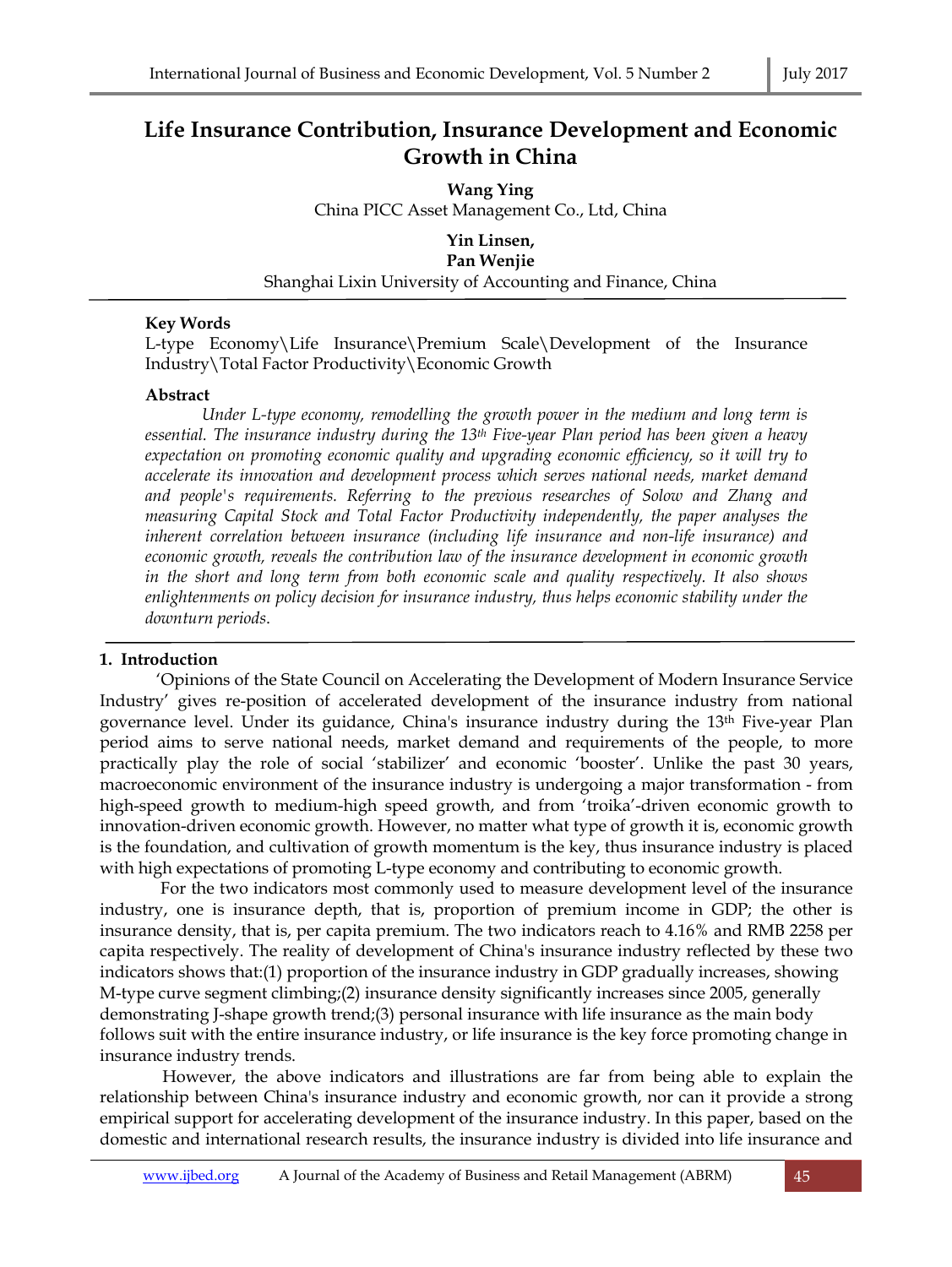# **Life Insurance Contribution, Insurance Development and Economic Growth in China**

**Wang Ying**  China PICC Asset Management Co., Ltd, China

**Yin Linsen, Pan Wenjie**  Shanghai Lixin University of Accounting and Finance, China

## **Key Words**

L-type Economy\Life Insurance\Premium Scale\Development of the Insurance Industry\Total Factor Productivity\Economic Growth

## **Abstract**

*Under L-type economy, remodelling the growth power in the medium and long term is essential. The insurance industry during the 13th Five-year Plan period has been given a heavy expectation on promoting economic quality and upgrading economic efficiency, so it will try to accelerate its innovation and development process which serves national needs, market demand and people's requirements. Referring to the previous researches of Solow and Zhang and measuring Capital Stock and Total Factor Productivity independently, the paper analyses the inherent correlation between insurance (including life insurance and non-life insurance) and economic growth, reveals the contribution law of the insurance development in economic growth in the short and long term from both economic scale and quality respectively. It also shows enlightenments on policy decision for insurance industry, thus helps economic stability under the downturn periods*.

# **1. Introduction**

'Opinions of the State Council on Accelerating the Development of Modern Insurance Service Industry' gives re-position of accelerated development of the insurance industry from national governance level. Under its guidance, China's insurance industry during the 13th Five-year Plan period aims to serve national needs, market demand and requirements of the people, to more practically play the role of social 'stabilizer' and economic 'booster'. Unlike the past 30 years, macroeconomic environment of the insurance industry is undergoing a major transformation - from high-speed growth to medium-high speed growth, and from 'troika'-driven economic growth to innovation-driven economic growth. However, no matter what type of growth it is, economic growth is the foundation, and cultivation of growth momentum is the key, thus insurance industry is placed with high expectations of promoting L-type economy and contributing to economic growth.

 For the two indicators most commonly used to measure development level of the insurance industry, one is insurance depth, that is, proportion of premium income in GDP; the other is insurance density, that is, per capita premium. The two indicators reach to 4.16% and RMB 2258 per capita respectively. The reality of development of China's insurance industry reflected by these two indicators shows that:(1) proportion of the insurance industry in GDP gradually increases, showing M-type curve segment climbing;(2) insurance density significantly increases since 2005, generally demonstrating J-shape growth trend;(3) personal insurance with life insurance as the main body follows suit with the entire insurance industry, or life insurance is the key force promoting change in insurance industry trends.

 However, the above indicators and illustrations are far from being able to explain the relationship between China's insurance industry and economic growth, nor can it provide a strong empirical support for accelerating development of the insurance industry. In this paper, based on the domestic and international research results, the insurance industry is divided into life insurance and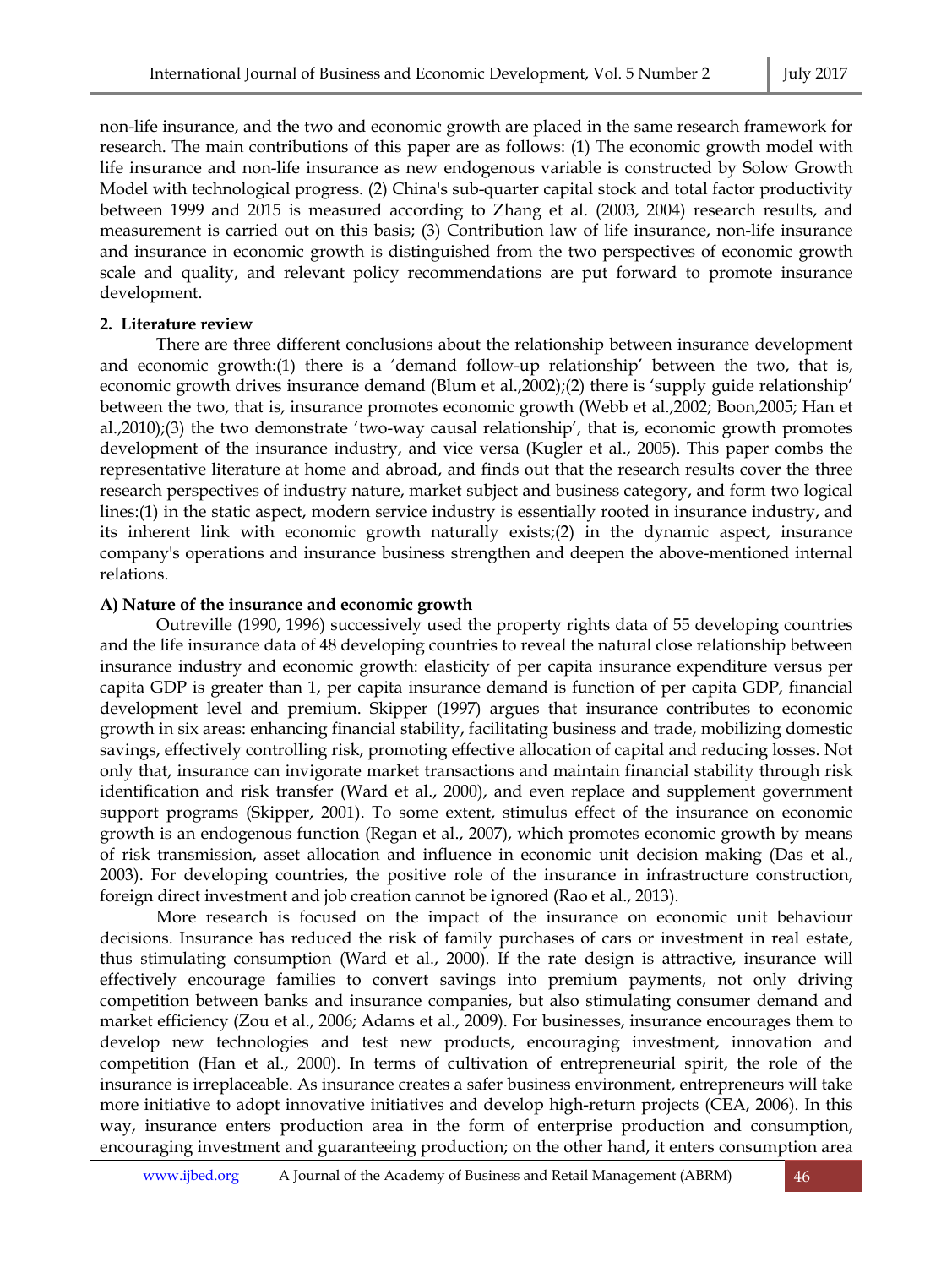non-life insurance, and the two and economic growth are placed in the same research framework for research. The main contributions of this paper are as follows: (1) The economic growth model with life insurance and non-life insurance as new endogenous variable is constructed by Solow Growth Model with technological progress. (2) China's sub-quarter capital stock and total factor productivity between 1999 and 2015 is measured according to Zhang et al. (2003, 2004) research results, and measurement is carried out on this basis; (3) Contribution law of life insurance, non-life insurance and insurance in economic growth is distinguished from the two perspectives of economic growth scale and quality, and relevant policy recommendations are put forward to promote insurance development.

#### **2. Literature review**

There are three different conclusions about the relationship between insurance development and economic growth:(1) there is a 'demand follow-up relationship' between the two, that is, economic growth drives insurance demand (Blum et al.,2002);(2) there is 'supply guide relationship' between the two, that is, insurance promotes economic growth (Webb et al.,2002; Boon,2005; Han et al.,2010);(3) the two demonstrate 'two-way causal relationship', that is, economic growth promotes development of the insurance industry, and vice versa (Kugler et al., 2005). This paper combs the representative literature at home and abroad, and finds out that the research results cover the three research perspectives of industry nature, market subject and business category, and form two logical lines:(1) in the static aspect, modern service industry is essentially rooted in insurance industry, and its inherent link with economic growth naturally exists;(2) in the dynamic aspect, insurance company's operations and insurance business strengthen and deepen the above-mentioned internal relations.

## **A) Nature of the insurance and economic growth**

Outreville (1990, 1996) successively used the property rights data of 55 developing countries and the life insurance data of 48 developing countries to reveal the natural close relationship between insurance industry and economic growth: elasticity of per capita insurance expenditure versus per capita GDP is greater than 1, per capita insurance demand is function of per capita GDP, financial development level and premium. Skipper (1997) argues that insurance contributes to economic growth in six areas: enhancing financial stability, facilitating business and trade, mobilizing domestic savings, effectively controlling risk, promoting effective allocation of capital and reducing losses. Not only that, insurance can invigorate market transactions and maintain financial stability through risk identification and risk transfer (Ward et al., 2000), and even replace and supplement government support programs (Skipper, 2001). To some extent, stimulus effect of the insurance on economic growth is an endogenous function (Regan et al., 2007), which promotes economic growth by means of risk transmission, asset allocation and influence in economic unit decision making (Das et al., 2003). For developing countries, the positive role of the insurance in infrastructure construction, foreign direct investment and job creation cannot be ignored (Rao et al., 2013).

More research is focused on the impact of the insurance on economic unit behaviour decisions. Insurance has reduced the risk of family purchases of cars or investment in real estate, thus stimulating consumption (Ward et al., 2000). If the rate design is attractive, insurance will effectively encourage families to convert savings into premium payments, not only driving competition between banks and insurance companies, but also stimulating consumer demand and market efficiency (Zou et al., 2006; Adams et al., 2009). For businesses, insurance encourages them to develop new technologies and test new products, encouraging investment, innovation and competition (Han et al., 2000). In terms of cultivation of entrepreneurial spirit, the role of the insurance is irreplaceable. As insurance creates a safer business environment, entrepreneurs will take more initiative to adopt innovative initiatives and develop high-return projects (CEA, 2006). In this way, insurance enters production area in the form of enterprise production and consumption, encouraging investment and guaranteeing production; on the other hand, it enters consumption area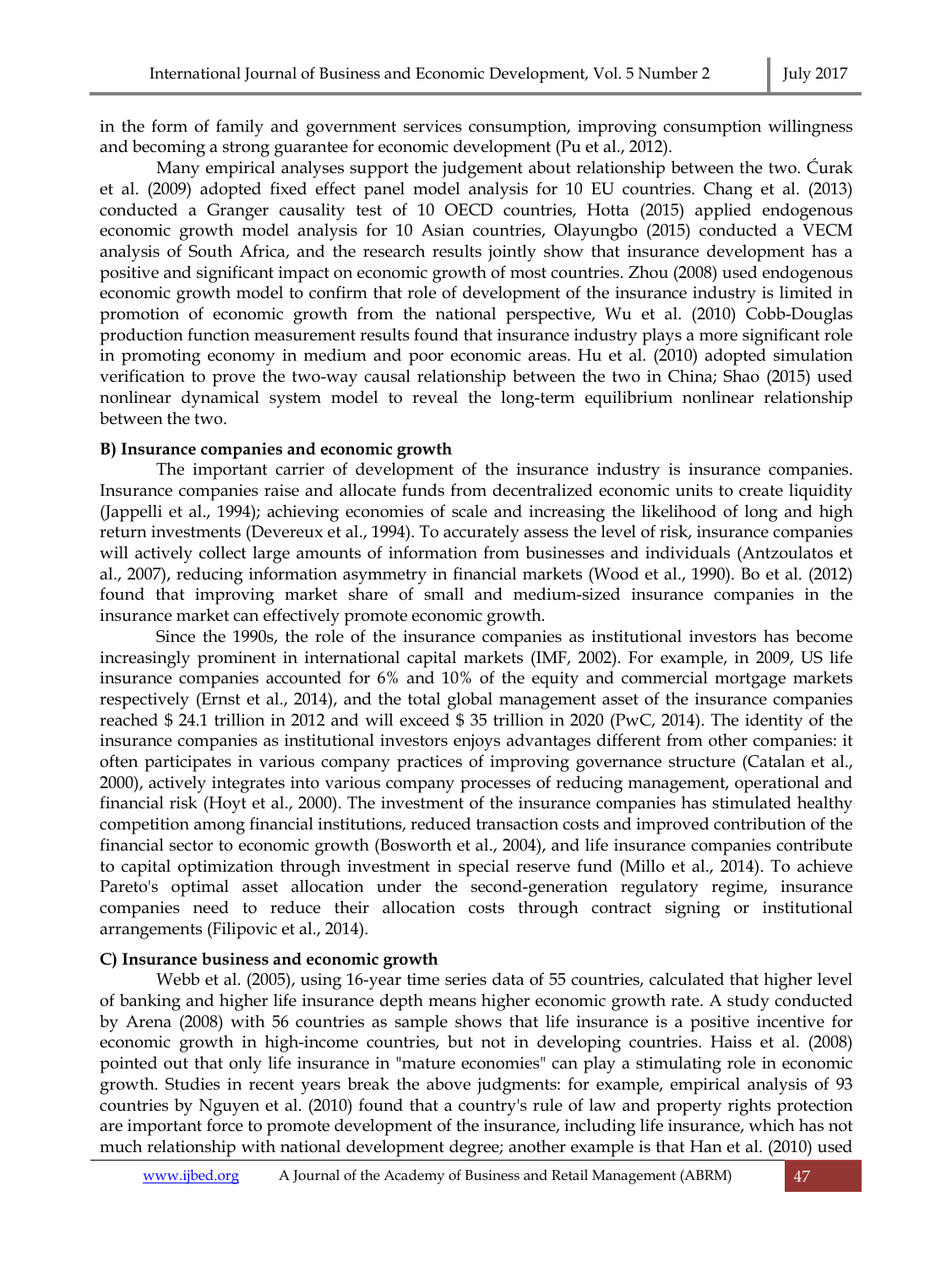in the form of family and government services consumption, improving consumption willingness and becoming a strong guarantee for economic development (Pu et al., 2012).

Many empirical analyses support the judgement about relationship between the two. Ćurak et al. (2009) adopted fixed effect panel model analysis for 10 EU countries. Chang et al. (2013) conducted a Granger causality test of 10 OECD countries, Hotta (2015) applied endogenous economic growth model analysis for 10 Asian countries, Olayungbo (2015) conducted a VECM analysis of South Africa, and the research results jointly show that insurance development has a positive and significant impact on economic growth of most countries. Zhou (2008) used endogenous economic growth model to confirm that role of development of the insurance industry is limited in promotion of economic growth from the national perspective, Wu et al. (2010) Cobb-Douglas production function measurement results found that insurance industry plays a more significant role in promoting economy in medium and poor economic areas. Hu et al. (2010) adopted simulation verification to prove the two-way causal relationship between the two in China; Shao (2015) used nonlinear dynamical system model to reveal the long-term equilibrium nonlinear relationship between the two.

#### **B) Insurance companies and economic growth**

The important carrier of development of the insurance industry is insurance companies. Insurance companies raise and allocate funds from decentralized economic units to create liquidity (Jappelli et al., 1994); achieving economies of scale and increasing the likelihood of long and high return investments (Devereux et al., 1994). To accurately assess the level of risk, insurance companies will actively collect large amounts of information from businesses and individuals (Antzoulatos et al., 2007), reducing information asymmetry in financial markets (Wood et al., 1990). Bo et al. (2012) found that improving market share of small and medium-sized insurance companies in the insurance market can effectively promote economic growth.

Since the 1990s, the role of the insurance companies as institutional investors has become increasingly prominent in international capital markets (IMF, 2002). For example, in 2009, US life insurance companies accounted for 6% and 10% of the equity and commercial mortgage markets respectively (Ernst et al., 2014), and the total global management asset of the insurance companies reached \$ 24.1 trillion in 2012 and will exceed \$ 35 trillion in 2020 (PwC, 2014). The identity of the insurance companies as institutional investors enjoys advantages different from other companies: it often participates in various company practices of improving governance structure (Catalan et al., 2000), actively integrates into various company processes of reducing management, operational and financial risk (Hoyt et al., 2000). The investment of the insurance companies has stimulated healthy competition among financial institutions, reduced transaction costs and improved contribution of the financial sector to economic growth (Bosworth et al., 2004), and life insurance companies contribute to capital optimization through investment in special reserve fund (Millo et al., 2014). To achieve Pareto's optimal asset allocation under the second-generation regulatory regime, insurance companies need to reduce their allocation costs through contract signing or institutional arrangements (Filipovic et al., 2014).

## **C) Insurance business and economic growth**

Webb et al. (2005), using 16-year time series data of 55 countries, calculated that higher level of banking and higher life insurance depth means higher economic growth rate. A study conducted by Arena (2008) with 56 countries as sample shows that life insurance is a positive incentive for economic growth in high-income countries, but not in developing countries. Haiss et al. (2008) pointed out that only life insurance in "mature economies" can play a stimulating role in economic growth. Studies in recent years break the above judgments: for example, empirical analysis of 93 countries by Nguyen et al. (2010) found that a country's rule of law and property rights protection are important force to promote development of the insurance, including life insurance, which has not much relationship with national development degree; another example is that Han et al. (2010) used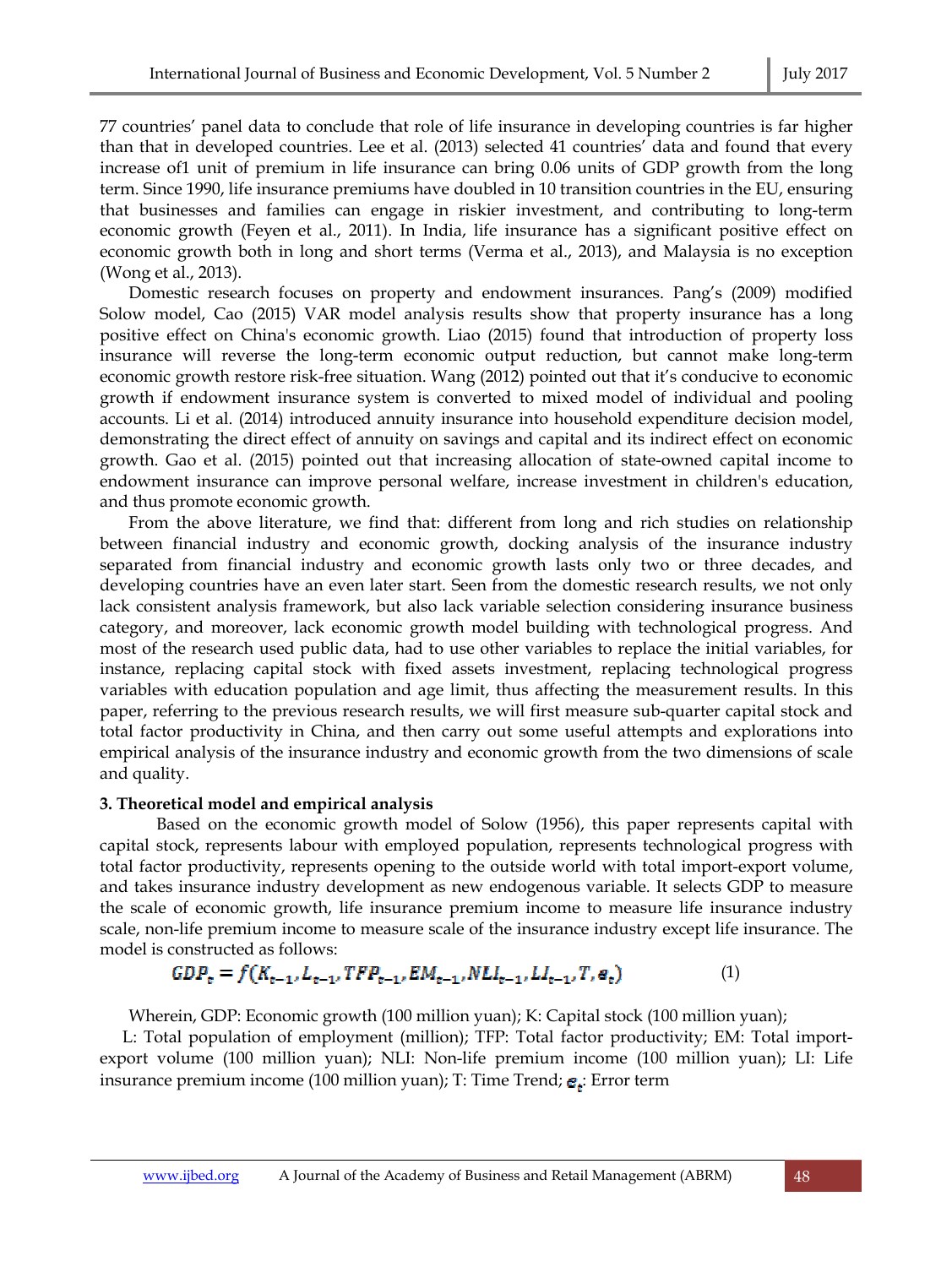77 countries' panel data to conclude that role of life insurance in developing countries is far higher than that in developed countries. Lee et al. (2013) selected 41 countries' data and found that every increase of1 unit of premium in life insurance can bring 0.06 units of GDP growth from the long term. Since 1990, life insurance premiums have doubled in 10 transition countries in the EU, ensuring that businesses and families can engage in riskier investment, and contributing to long-term economic growth (Feyen et al., 2011). In India, life insurance has a significant positive effect on economic growth both in long and short terms (Verma et al., 2013), and Malaysia is no exception (Wong et al., 2013).

Domestic research focuses on property and endowment insurances. Pang's (2009) modified Solow model, Cao (2015) VAR model analysis results show that property insurance has a long positive effect on China's economic growth. Liao (2015) found that introduction of property loss insurance will reverse the long-term economic output reduction, but cannot make long-term economic growth restore risk-free situation. Wang (2012) pointed out that it's conducive to economic growth if endowment insurance system is converted to mixed model of individual and pooling accounts. Li et al. (2014) introduced annuity insurance into household expenditure decision model, demonstrating the direct effect of annuity on savings and capital and its indirect effect on economic growth. Gao et al. (2015) pointed out that increasing allocation of state-owned capital income to endowment insurance can improve personal welfare, increase investment in children's education, and thus promote economic growth.

From the above literature, we find that: different from long and rich studies on relationship between financial industry and economic growth, docking analysis of the insurance industry separated from financial industry and economic growth lasts only two or three decades, and developing countries have an even later start. Seen from the domestic research results, we not only lack consistent analysis framework, but also lack variable selection considering insurance business category, and moreover, lack economic growth model building with technological progress. And most of the research used public data, had to use other variables to replace the initial variables, for instance, replacing capital stock with fixed assets investment, replacing technological progress variables with education population and age limit, thus affecting the measurement results. In this paper, referring to the previous research results, we will first measure sub-quarter capital stock and total factor productivity in China, and then carry out some useful attempts and explorations into empirical analysis of the insurance industry and economic growth from the two dimensions of scale and quality.

## **3. Theoretical model and empirical analysis**

Based on the economic growth model of Solow (1956), this paper represents capital with capital stock, represents labour with employed population, represents technological progress with total factor productivity, represents opening to the outside world with total import-export volume, and takes insurance industry development as new endogenous variable. It selects GDP to measure the scale of economic growth, life insurance premium income to measure life insurance industry scale, non-life premium income to measure scale of the insurance industry except life insurance. The model is constructed as follows:

$$
GDP_{\varepsilon} = f(K_{\varepsilon-1}, L_{\varepsilon-1}, TFP_{\varepsilon-1}, EM_{\varepsilon-1}, NLI_{\varepsilon-1}, LL_{\varepsilon-1}, T, e_{\varepsilon})
$$
(1)

Wherein, GDP: Economic growth (100 million yuan); K: Capital stock (100 million yuan);

L: Total population of employment (million); TFP: Total factor productivity; EM: Total importexport volume (100 million yuan); NLI: Non-life premium income (100 million yuan); LI: Life insurance premium income (100 million yuan); T: Time Trend;  $\mathbf{e}_t$ : Error term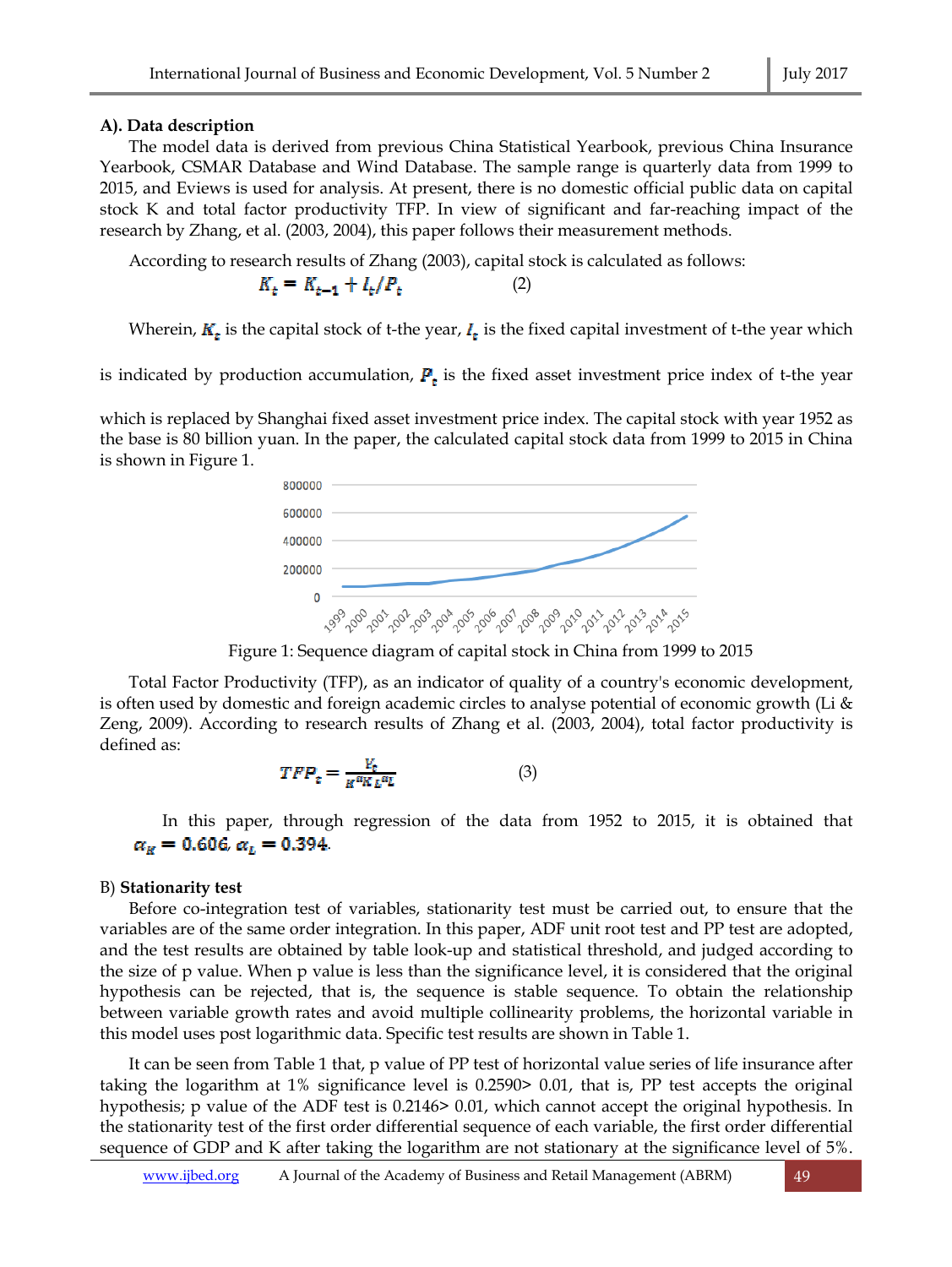## **A). Data description**

The model data is derived from previous China Statistical Yearbook, previous China Insurance Yearbook, CSMAR Database and Wind Database. The sample range is quarterly data from 1999 to 2015, and Eviews is used for analysis. At present, there is no domestic official public data on capital stock K and total factor productivity TFP. In view of significant and far-reaching impact of the research by Zhang, et al. (2003, 2004), this paper follows their measurement methods.

According to research results of Zhang (2003), capital stock is calculated as follows:

$$
K_t = K_{t-1} + I_t/P_t \tag{2}
$$

Wherein,  $K_t$  is the capital stock of t-the year,  $I_t$  is the fixed capital investment of t-the year which

is indicated by production accumulation,  $P_t$  is the fixed asset investment price index of t-the year

which is replaced by Shanghai fixed asset investment price index. The capital stock with year 1952 as the base is 80 billion yuan. In the paper, the calculated capital stock data from 1999 to 2015 in China is shown in Figure 1.



Figure 1: Sequence diagram of capital stock in China from 1999 to 2015

Total Factor Productivity (TFP), as an indicator of quality of a country's economic development, is often used by domestic and foreign academic circles to analyse potential of economic growth (Li & Zeng, 2009). According to research results of Zhang et al. (2003, 2004), total factor productivity is defined as:

$$
TFP_t = \frac{Y_t}{K^{\alpha K}L^{\alpha L}} \tag{3}
$$

In this paper, through regression of the data from 1952 to 2015, it is obtained that  $\alpha_K = 0.606, \alpha_L = 0.394.$ 

## B) **Stationarity test**

Before co-integration test of variables, stationarity test must be carried out, to ensure that the variables are of the same order integration. In this paper, ADF unit root test and PP test are adopted, and the test results are obtained by table look-up and statistical threshold, and judged according to the size of p value. When p value is less than the significance level, it is considered that the original hypothesis can be rejected, that is, the sequence is stable sequence. To obtain the relationship between variable growth rates and avoid multiple collinearity problems, the horizontal variable in this model uses post logarithmic data. Specific test results are shown in Table 1.

It can be seen from Table 1 that, p value of PP test of horizontal value series of life insurance after taking the logarithm at 1% significance level is 0.2590> 0.01, that is, PP test accepts the original hypothesis; p value of the ADF test is 0.2146> 0.01, which cannot accept the original hypothesis. In the stationarity test of the first order differential sequence of each variable, the first order differential sequence of GDP and K after taking the logarithm are not stationary at the significance level of 5%.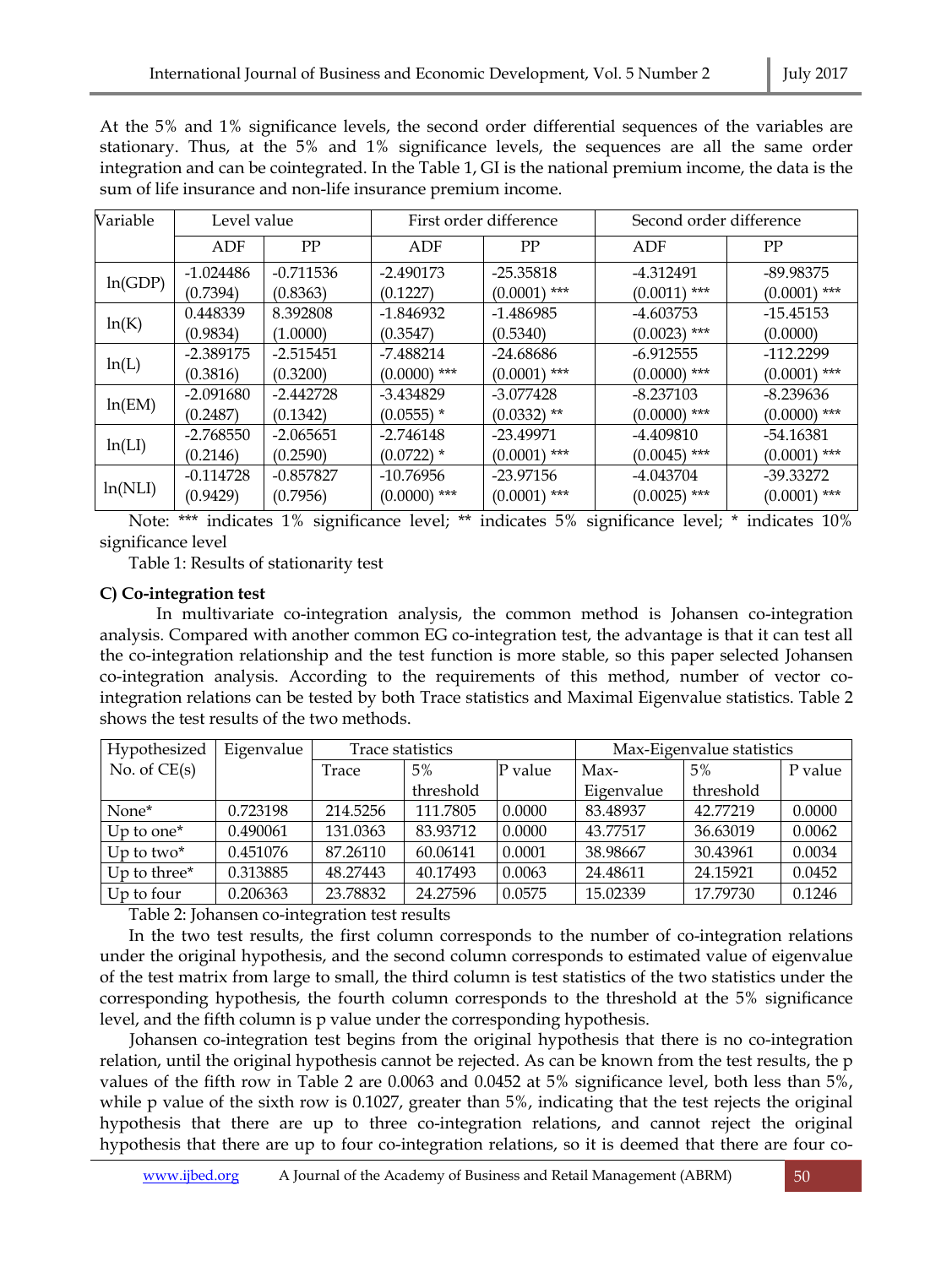At the 5% and 1% significance levels, the second order differential sequences of the variables are stationary. Thus, at the 5% and 1% significance levels, the sequences are all the same order integration and can be cointegrated. In the Table 1, GI is the national premium income, the data is the sum of life insurance and non-life insurance premium income.

| Variable | Level value |             |                | First order difference | Second order difference |                |  |  |
|----------|-------------|-------------|----------------|------------------------|-------------------------|----------------|--|--|
|          | PP<br>ADF   |             | ADF            | PP                     | ADF                     | PP             |  |  |
| ln(GDP)  | $-1.024486$ | $-0.711536$ | $-2.490173$    | $-25.35818$            | -4.312491               | -89.98375      |  |  |
|          | (0.7394)    | (0.8363)    | (0.1227)       | $(0.0001)$ ***         | ***<br>(0.0011)         | $(0.0001)$ *** |  |  |
| ln(K)    | 0.448339    | 8.392808    | $-1.846932$    | -1.486985              | -4.603753               | -15.45153      |  |  |
|          | (0.9834)    | (1.0000)    | (0.3547)       | (0.5340)               | $(0.0023)$ ***          | (0.0000)       |  |  |
| ln(L)    | $-2.389175$ | $-2.515451$ | -7.488214      | $-24.68686$            | $-6.912555$             | $-112.2299$    |  |  |
|          | (0.3816)    | (0.3200)    | $(0.0000)$ *** | $(0.0001)$ ***         | $(0.0000)$ ***          | $(0.0001)$ *** |  |  |
| ln(EM)   | $-2.091680$ | $-2.442728$ | -3.434829      | $-3.077428$            | -8.237103               | $-8.239636$    |  |  |
|          | (0.2487)    | (0.1342)    | $(0.0555)$ *   | $(0.0332)$ **          | $(0.0000)$ ***          | $(0.0000)$ *** |  |  |
| ln(LI)   | $-2.768550$ | $-2.065651$ | -2.746148      | -23.49971              | -4.409810               | -54.16381      |  |  |
|          | (0.2146)    | (0.2590)    | $(0.0722)$ *   | $(0.0001)$ ***         | $(0.0045)$ ***          | $(0.0001)$ *** |  |  |
| ln(NLI)  | $-0.114728$ | $-0.857827$ | $-10.76956$    | $-23.97156$            | -4.043704               | -39.33272      |  |  |
|          | (0.9429)    | (0.7956)    | $(0.0000)$ *** | $(0.0001)$ ***         | $(0.0025)$ ***          | $(0.0001)$ *** |  |  |

Note: \*\*\* indicates 1% significance level; \*\* indicates 5% significance level; \* indicates 10% significance level

Table 1: Results of stationarity test

# **C) Co-integration test**

In multivariate co-integration analysis, the common method is Johansen co-integration analysis. Compared with another common EG co-integration test, the advantage is that it can test all the co-integration relationship and the test function is more stable, so this paper selected Johansen co-integration analysis. According to the requirements of this method, number of vector cointegration relations can be tested by both Trace statistics and Maximal Eigenvalue statistics. Table 2 shows the test results of the two methods.

| Hypothesized                              | Eigenvalue | Trace statistics |           | Max-Eigenvalue statistics |            |           |         |
|-------------------------------------------|------------|------------------|-----------|---------------------------|------------|-----------|---------|
| No. of $CE(s)$                            |            | 5%<br>Trace      |           | P value                   | Max-       | 5%        | P value |
|                                           |            |                  | threshold |                           | Eigenvalue | threshold |         |
| None*                                     | 0.723198   | 214.5256         | 111.7805  | 0.0000                    | 83.48937   | 42.77219  | 0.0000  |
| $Up$ to one <sup><math>\star</math></sup> | 0.490061   | 131.0363         | 83.93712  | 0.0000                    | 43.77517   | 36.63019  | 0.0062  |
| $Up$ to two $*$                           | 0.451076   | 87.26110         | 60.06141  | 0.0001                    | 38.98667   | 30.43961  | 0.0034  |
| Up to three*                              | 0.313885   | 48.27443         | 40.17493  | 0.0063                    | 24.48611   | 24.15921  | 0.0452  |
| Up to four                                | 0.206363   | 23.78832         | 24.27596  | 0.0575                    | 15.02339   | 17.79730  | 0.1246  |

Table 2: Johansen co-integration test results

In the two test results, the first column corresponds to the number of co-integration relations under the original hypothesis, and the second column corresponds to estimated value of eigenvalue of the test matrix from large to small, the third column is test statistics of the two statistics under the corresponding hypothesis, the fourth column corresponds to the threshold at the 5% significance level, and the fifth column is p value under the corresponding hypothesis.

 Johansen co-integration test begins from the original hypothesis that there is no co-integration relation, until the original hypothesis cannot be rejected. As can be known from the test results, the p values of the fifth row in Table 2 are 0.0063 and 0.0452 at 5% significance level, both less than 5%, while p value of the sixth row is 0.1027, greater than 5%, indicating that the test rejects the original hypothesis that there are up to three co-integration relations, and cannot reject the original hypothesis that there are up to four co-integration relations, so it is deemed that there are four co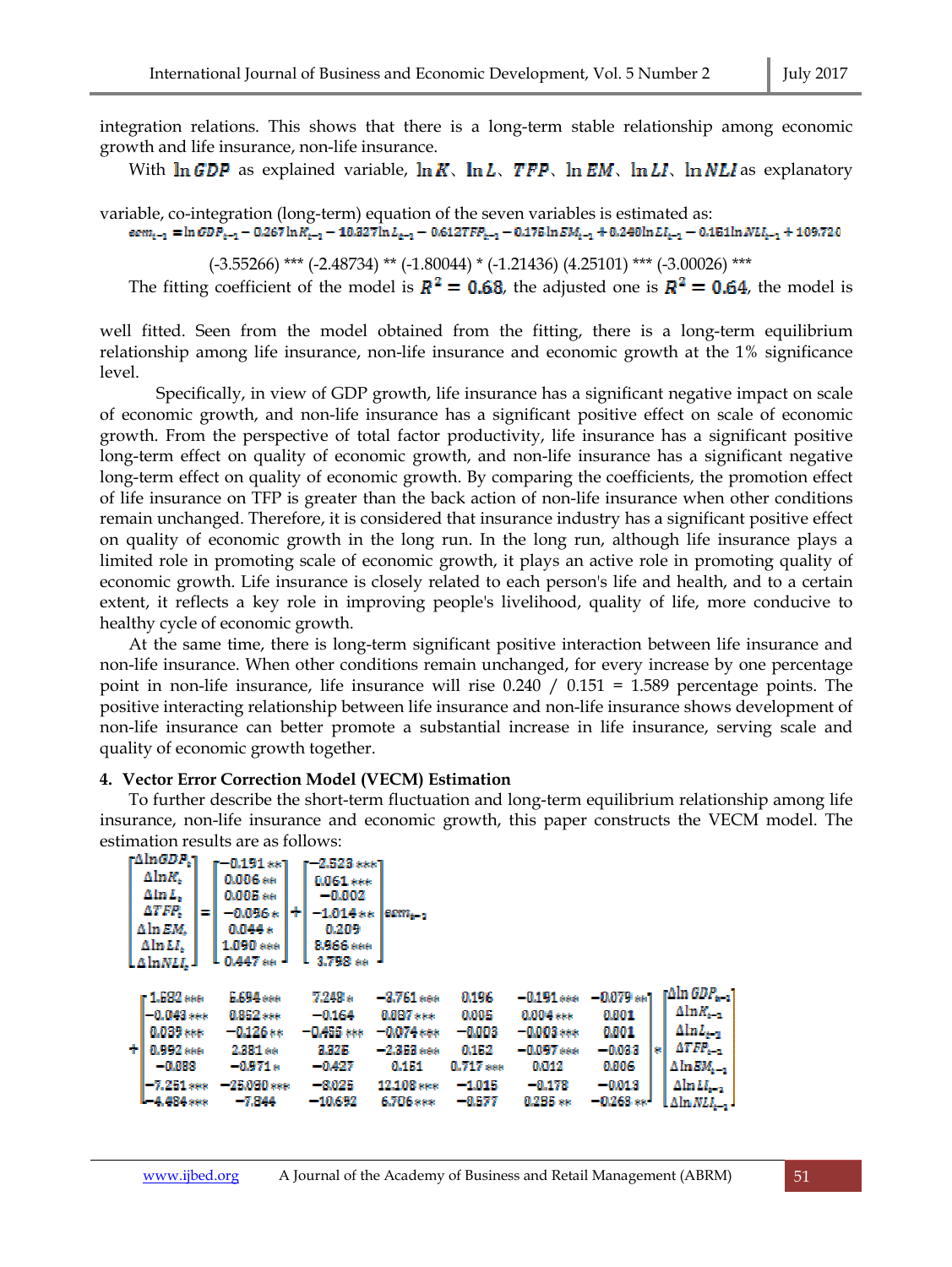integration relations. This shows that there is a long-term stable relationship among economic growth and life insurance, non-life insurance.

With  $\ln GDP$  as explained variable,  $\ln K$ ,  $\ln L$ ,  $TFP$ ,  $\ln EM$ ,  $\ln L$ ,  $\ln NLI$  as explanatory

variable, co-integration (long-term) equation of the seven variables is estimated as:<br> $\epsilon_{cm_{k-1}} = \ln \sigma D P_{k-1} - 0.267 \ln K_{k-1} - 10.327 \ln L_{k-1} - 0.6127 F P_{k-1} - 0.175 \ln EM_{k-1} + 0.240 \ln L I_{k-1} - 0.151 \ln N L I_{k-1} + 109.720$ 

(-3.55266) \*\*\* (-2.48734) \*\* (-1.80044) \* (-1.21436) (4.25101) \*\*\* (-3.00026) \*\*\*

The fitting coefficient of the model is  $R^2 = 0.68$ , the adjusted one is  $R^2 = 0.64$ , the model is

well fitted. Seen from the model obtained from the fitting, there is a long-term equilibrium relationship among life insurance, non-life insurance and economic growth at the 1% significance level.

 Specifically, in view of GDP growth, life insurance has a significant negative impact on scale of economic growth, and non-life insurance has a significant positive effect on scale of economic growth. From the perspective of total factor productivity, life insurance has a significant positive long-term effect on quality of economic growth, and non-life insurance has a significant negative long-term effect on quality of economic growth. By comparing the coefficients, the promotion effect of life insurance on TFP is greater than the back action of non-life insurance when other conditions remain unchanged. Therefore, it is considered that insurance industry has a significant positive effect on quality of economic growth in the long run. In the long run, although life insurance plays a limited role in promoting scale of economic growth, it plays an active role in promoting quality of economic growth. Life insurance is closely related to each person's life and health, and to a certain extent, it reflects a key role in improving people's livelihood, quality of life, more conducive to healthy cycle of economic growth.

At the same time, there is long-term significant positive interaction between life insurance and non-life insurance. When other conditions remain unchanged, for every increase by one percentage point in non-life insurance, life insurance will rise 0.240 / 0.151 = 1.589 percentage points. The positive interacting relationship between life insurance and non-life insurance shows development of non-life insurance can better promote a substantial increase in life insurance, serving scale and quality of economic growth together.

#### **4. Vector Error Correction Model (VECM) Estimation**

To further describe the short-term fluctuation and long-term equilibrium relationship among life insurance, non-life insurance and economic growth, this paper constructs the VECM model. The estimation results are as follows:

|   | r∆ln <i>GDP</i> .1<br>Aln <i>R</i> .<br>AlnL.<br>ATFR.<br>Aln EM.<br>$\Delta$ ln $LI_r$<br>LAInNLL 1 | m | $r = 0.191**1$<br>0.006 ss<br>0.005 ee<br>$-0.0962$<br>0.044 s<br>1,090 sec.<br>$1.0.447$ ss.     | ÷۱ | r - 2.523 *** 1<br>0.061 ***<br>$-0.002$<br>$-1.014$ ss<br>0.209<br><b>RM66</b> ***<br>3.79B as | leann                                                                                          |                                                                              |                                                                                             |                                                                                                      |     |                                                                                                                                                               |
|---|------------------------------------------------------------------------------------------------------|---|---------------------------------------------------------------------------------------------------|----|-------------------------------------------------------------------------------------------------|------------------------------------------------------------------------------------------------|------------------------------------------------------------------------------|---------------------------------------------------------------------------------------------|------------------------------------------------------------------------------------------------------|-----|---------------------------------------------------------------------------------------------------------------------------------------------------------------|
| ÷ | r 1.582 ÷÷÷<br>$-0.043$ see<br>$0.039***$<br>0.992 sss<br>$-0.000$<br>$-7.251$ ass.<br>$-4.484***$   |   | <b>L.694</b> see<br>0.852 ***<br>$-0.126**$<br>2.381 as<br>$-0.971*$<br>$-25.030$ see<br>$-7.844$ |    | 7.249 s<br>$-0.164$<br>$-0.455***$<br>3.325<br>$-0.427$<br>$-0.025$<br>$-10.692$                | $-3.761$ see<br>$0.087***$<br>$-0.074$ eee<br>$-2.313$ see<br>0.151<br>12.108 sex<br>6.706 sss | 0,196<br>-0.005<br>$-0.003$<br>0.152<br>$0.717$ asss<br>$-1.015$<br>$-0.577$ | $-0.191***$<br>0.004 ***<br>$-0.003$ ***<br>$-0.097$ see<br>0.012<br>$-0.178$<br>$0.235$ as | $-0.079$ as 1<br>0.001<br>-0,001<br>$-0.033$<br><b>MARKS</b><br>$-0.013$<br>$-0.263$ se <sup>1</sup> | lеl | $\lceil \Delta \ln GDP_{n-1} \rceil$<br>$\Delta$ ln $K_{n-1}$<br>$AlmL_{r-1}$<br>$ATFT_{t-1}$<br>$\triangle \ln EM_{n-1}$<br>$AlmLI_{n-1}$<br>LAlm <i>NLL</i> |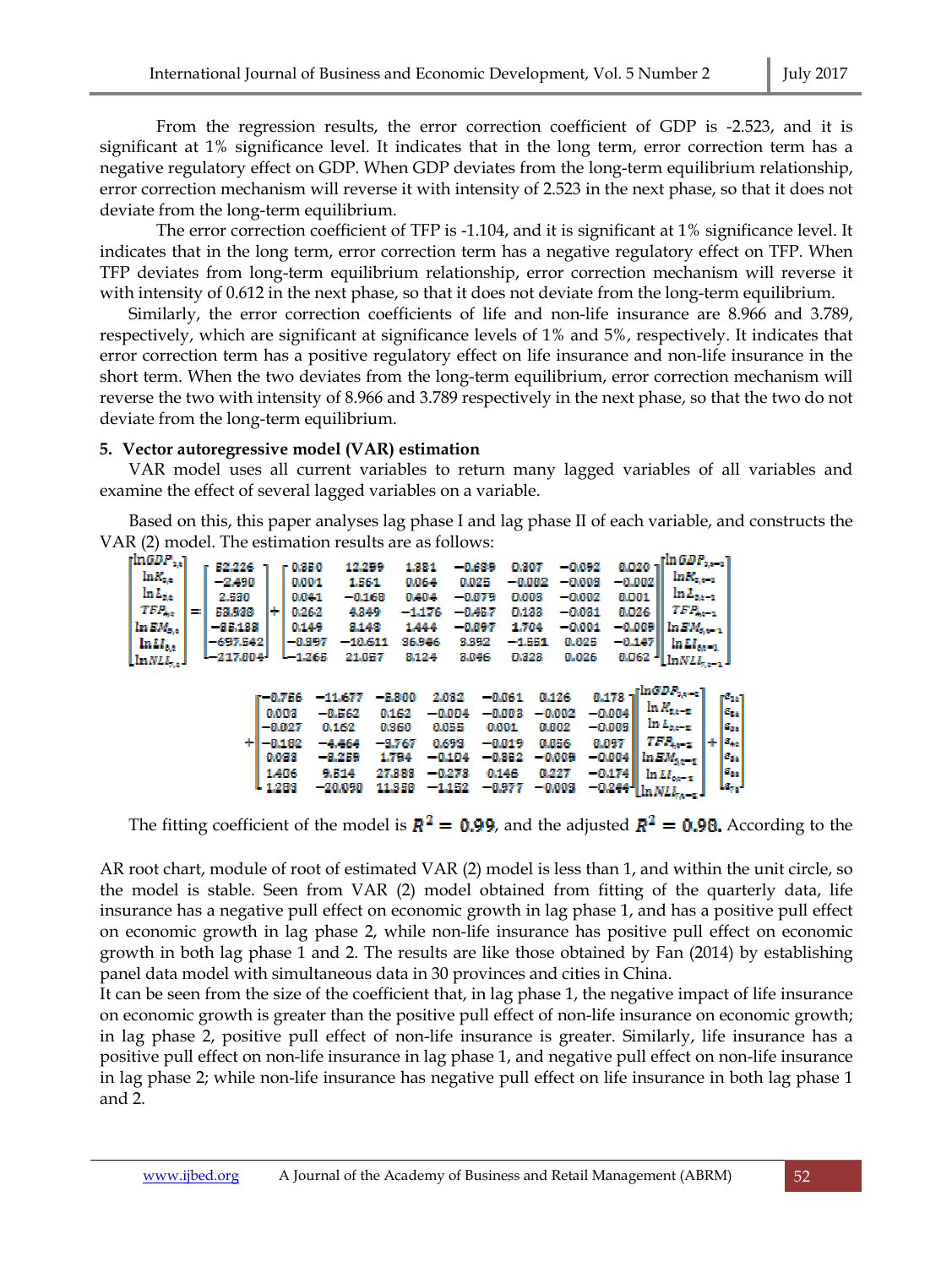From the regression results, the error correction coefficient of GDP is -2.523, and it is significant at 1% significance level. It indicates that in the long term, error correction term has a negative regulatory effect on GDP. When GDP deviates from the long-term equilibrium relationship, error correction mechanism will reverse it with intensity of 2.523 in the next phase, so that it does not deviate from the long-term equilibrium.

The error correction coefficient of TFP is -1.104, and it is significant at 1% significance level. It indicates that in the long term, error correction term has a negative regulatory effect on TFP. When TFP deviates from long-term equilibrium relationship, error correction mechanism will reverse it with intensity of 0.612 in the next phase, so that it does not deviate from the long-term equilibrium.

Similarly, the error correction coefficients of life and non-life insurance are 8.966 and 3.789, respectively, which are significant at significance levels of 1% and 5%, respectively. It indicates that error correction term has a positive regulatory effect on life insurance and non-life insurance in the short term. When the two deviates from the long-term equilibrium, error correction mechanism will reverse the two with intensity of 8.966 and 3.789 respectively in the next phase, so that the two do not deviate from the long-term equilibrium.

## **5. Vector autoregressive model (VAR) estimation**

VAR model uses all current variables to return many lagged variables of all variables and examine the effect of several lagged variables on a variable.

Based on this, this paper analyses lag phase I and lag phase II of each variable, and constructs the VAR (2) model. The estimation results are as follows:

| $_{\rm InGDP_{up}}$        |   | 52,226     |       | r 0.350  | 12,299    |        | 1.381    | -0.689   | 0.307     | $-0.092$                   | $\lceil\ln GDP_{1k-1}\rceil$<br>0.020              |   |                          |
|----------------------------|---|------------|-------|----------|-----------|--------|----------|----------|-----------|----------------------------|----------------------------------------------------|---|--------------------------|
| $\ln R_{\rm{Xe}}$          |   |            |       |          |           |        |          |          |           |                            | $ln R_{\rm x, e-1}$                                |   |                          |
|                            |   | $-2.490$   |       | 0,001    | 1.564     |        | 0.064    | 0.025    | $-0.002$  | $-0.0003$                  | $-0.002$                                           |   |                          |
| $\ln L_{\rm{so}}$          |   | 2,530      |       | 0.041    | $-0.168$  |        | 0.404    | -0.079   | 0.003     | $-0.002$                   | $\ln L_{z_A-z}$<br>0.001                           |   |                          |
| $TFP_{opt}$                | ÷ | 53,938     | н     | 0.26-2   | 4,349     |        | --1.176  | -0.457   | 0.133     | $-0.031$                   | $TFR_{sp-1}$<br>0.026                              |   |                          |
| $\ln EM_{\rm S, e}$        |   | $-35,133$  |       | 0.149    | 3,148     |        | 1.444    | -0.097   | 1,704     | $-0.001$                   | $-0.009$<br>$\ln EM_{\rm K\,-1}$                   |   |                          |
| $ln M_{\text{e},\text{e}}$ |   | $-697,542$ |       | -0397    | $-10.611$ |        | 36.946   | 3,392    | $-1.551$  | 0.025                      | $-0.147$<br>$\ln L l_{\rm{c},c-1}$                 |   |                          |
| ${\rm Im}NLL_{\rm s,e}$ J  |   | L-217.004' |       | L-1,265  | 21.057    |        | 8,124    | 3,046    | 0.323     | 0.026                      | $0.062$ <sup>1</sup> [ $ln NLI$ <sub>7.4-3</sub> ] |   |                          |
|                            |   |            |       |          | --11.677  | -5.900 | 2,032    | $-0.061$ | 0.126     | 0.173                      |                                                    |   |                          |
|                            |   |            |       | 41.756   |           |        |          |          |           |                            | $\ln K_{\rm gas-2}$                                |   | r <sup>s</sup> ar I      |
|                            |   |            | 0.003 |          | $-0.562$  | 0.162  | -0.004   | -0.003   | - 40.0022 | $-0.0004$                  |                                                    |   | Par                      |
|                            |   |            |       | -0.027   | 0.162     | 0.360  | 0.055    | 0,001    | 0.002     | $-0.003$                   | $\ln L_{\rm{sp-2}}$                                |   | Par.                     |
|                            |   |            |       | $-0.132$ | $-4.464$  | -9.767 | 0.693    | $-0.019$ | 0.056     | 0.097                      | $TFP_{\text{ap-2}}$                                | н | $\mathbf{s}_{\text{de}}$ |
|                            |   |            | 0.033 |          | $-3.259$  | 1,794  | $-0.104$ | $-0.352$ | -0,009    | $-0.004$                   | $lnEM_{5k-2}$                                      |   | les '                    |
|                            |   |            | 1.406 |          | 9.514     | 27.343 | -0.273   | 0.146    | 0.227     | $-0.174$                   | $ln L I_{cor-z}$                                   |   | <b>Fee</b>               |
|                            |   |            | 1,283 |          | -20.090   | 11,358 | $-1,152$ | $-0.977$ | $-0.003$  | $-0.244$ $^{\prime\prime}$ |                                                    |   | لبيطا                    |

The fitting coefficient of the model is  $R^2 = 0.99$ , and the adjusted  $R^2 = 0.98$ . According to the

AR root chart, module of root of estimated VAR (2) model is less than 1, and within the unit circle, so the model is stable. Seen from VAR (2) model obtained from fitting of the quarterly data, life insurance has a negative pull effect on economic growth in lag phase 1, and has a positive pull effect on economic growth in lag phase 2, while non-life insurance has positive pull effect on economic growth in both lag phase 1 and 2. The results are like those obtained by Fan (2014) by establishing panel data model with simultaneous data in 30 provinces and cities in China.

It can be seen from the size of the coefficient that, in lag phase 1, the negative impact of life insurance on economic growth is greater than the positive pull effect of non-life insurance on economic growth; in lag phase 2, positive pull effect of non-life insurance is greater. Similarly, life insurance has a positive pull effect on non-life insurance in lag phase 1, and negative pull effect on non-life insurance in lag phase 2; while non-life insurance has negative pull effect on life insurance in both lag phase 1 and 2.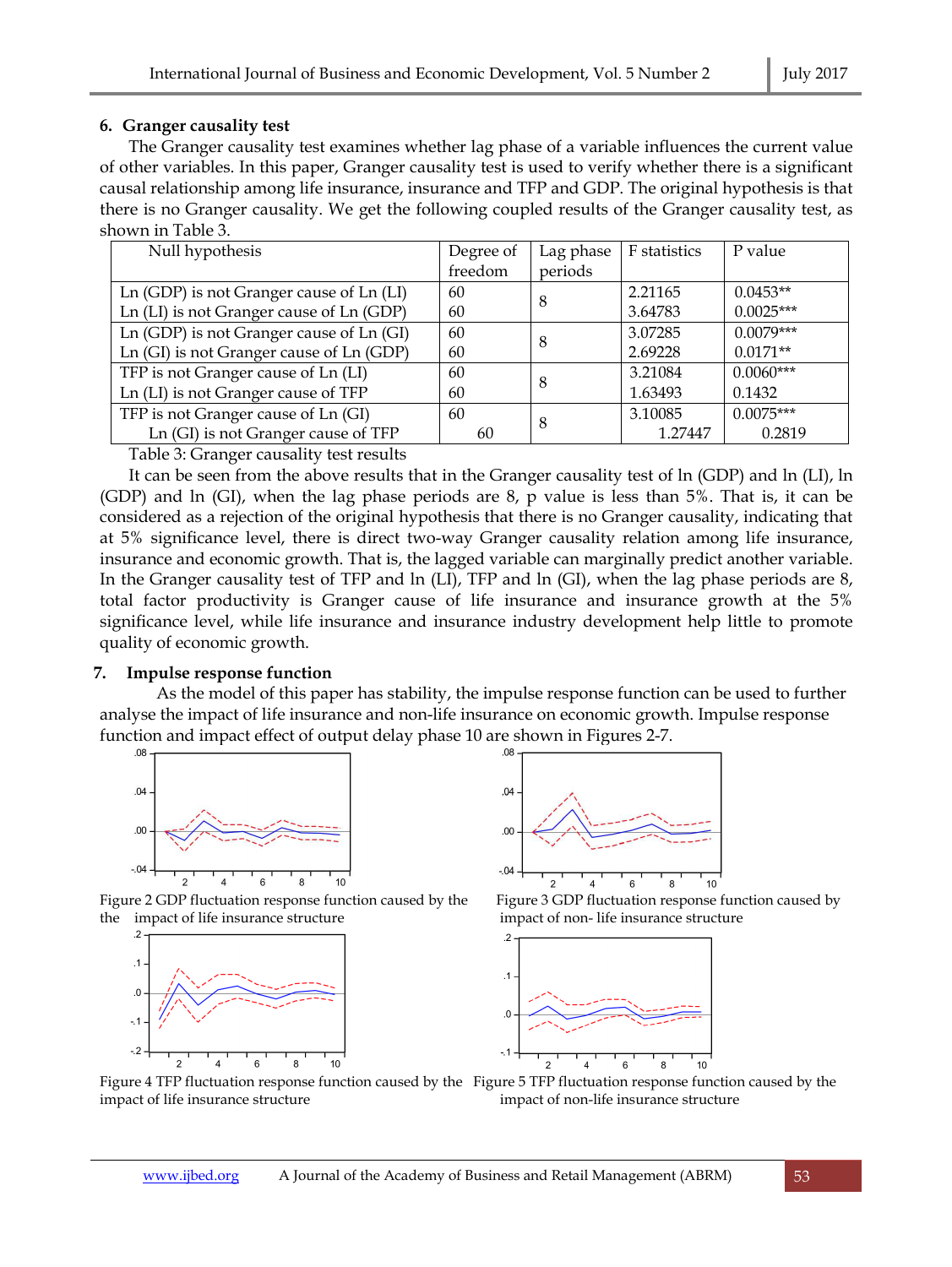## **6. Granger causality test**

The Granger causality test examines whether lag phase of a variable influences the current value of other variables. In this paper, Granger causality test is used to verify whether there is a significant causal relationship among life insurance, insurance and TFP and GDP. The original hypothesis is that there is no Granger causality. We get the following coupled results of the Granger causality test, as shown in Table 3.

| Null hypothesis                          | Degree of | Lag phase | F statistics | P value     |
|------------------------------------------|-----------|-----------|--------------|-------------|
|                                          | freedom   | periods   |              |             |
| Ln (GDP) is not Granger cause of Ln (LI) | 60        | 8         | 2.21165      | $0.0453**$  |
| Ln (LI) is not Granger cause of Ln (GDP) | 60        |           | 3.64783      | $0.0025***$ |
| Ln (GDP) is not Granger cause of Ln (GI) | 60        | 8         | 3.07285      | $0.0079***$ |
| Ln (GI) is not Granger cause of Ln (GDP) | 60        |           |              | $0.0171**$  |
| TFP is not Granger cause of Ln (LI)      | 60        | 8         | 3.21084      | $0.0060***$ |
| Ln (LI) is not Granger cause of TFP      | 60        |           | 1.63493      | 0.1432      |
| TFP is not Granger cause of Ln (GI)      | 60        | 8         | 3.10085      | $0.0075***$ |
| Ln (GI) is not Granger cause of TFP      | 60        |           | 1.27447      | 0.2819      |

Table 3: Granger causality test results

It can be seen from the above results that in the Granger causality test of ln (GDP) and ln (LI), ln (GDP) and ln (GI), when the lag phase periods are 8, p value is less than 5%. That is, it can be considered as a rejection of the original hypothesis that there is no Granger causality, indicating that at 5% significance level, there is direct two-way Granger causality relation among life insurance, insurance and economic growth. That is, the lagged variable can marginally predict another variable. In the Granger causality test of TFP and ln (LI), TFP and ln (GI), when the lag phase periods are 8, total factor productivity is Granger cause of life insurance and insurance growth at the 5% significance level, while life insurance and insurance industry development help little to promote quality of economic growth.

# **7. Impulse response function**

As the model of this paper has stability, the impulse response function can be used to further analyse the impact of life insurance and non-life insurance on economic growth. Impulse response function and impact effect of output delay phase 10 are shown in Figures 2-7.



Figure 2 GDP fluctuation response function caused by the Figure 3 GDP fluctuation response function caused by the impact of life insurance structure impact of non- life insurance structure







Figure 4 TFP fluctuation response function caused by the Figure 5 TFP fluctuation response function caused by the impact of life insurance structure impact of non-life insurance structure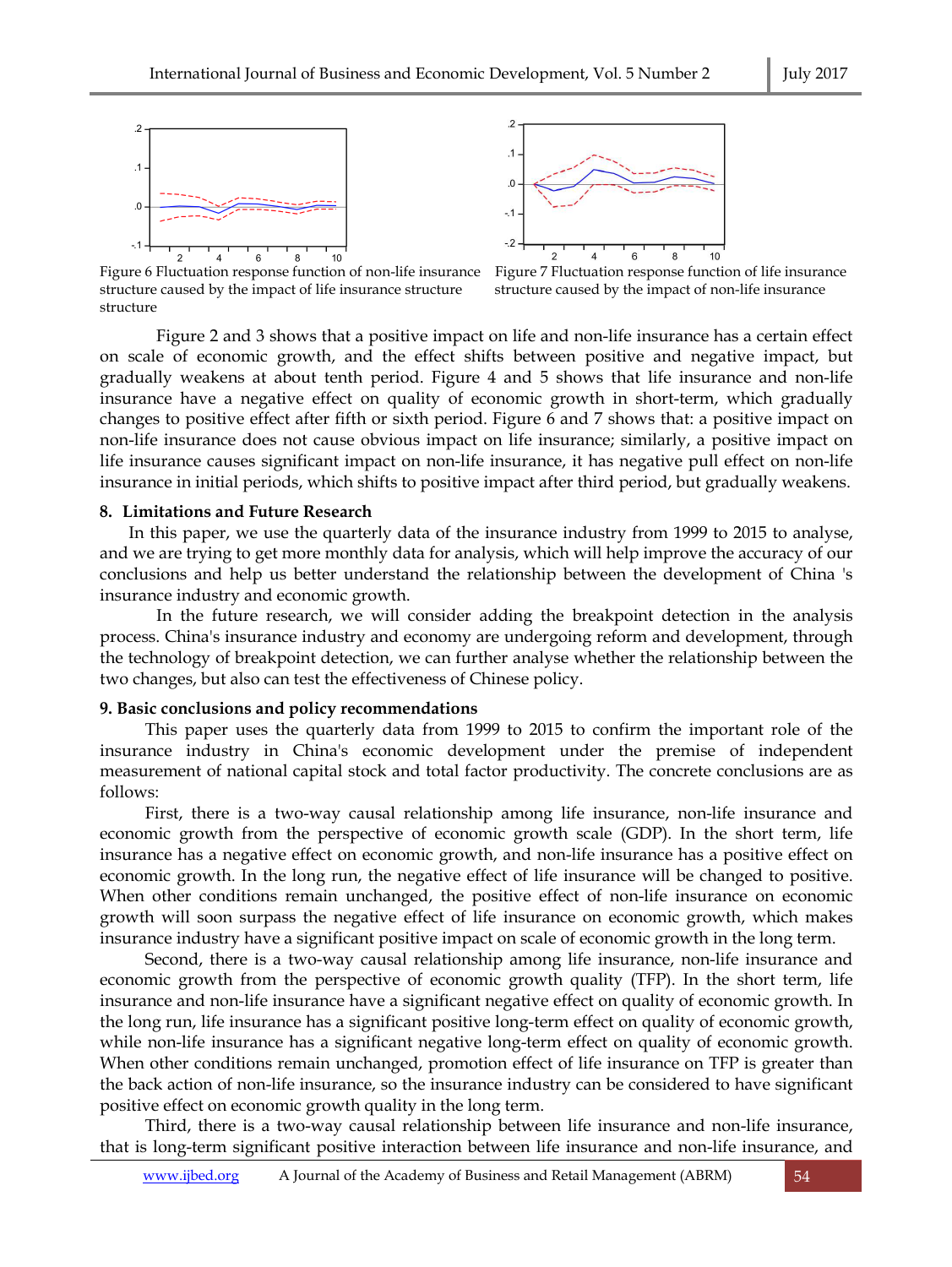



Figure 6 Fluctuation response function of non-life insurance Figure 7 Fluctuation response function of life insurance structure caused by the impact of life insurance structure structure caused by the impact of non-life insurance structure

Figure 2 and 3 shows that a positive impact on life and non-life insurance has a certain effect on scale of economic growth, and the effect shifts between positive and negative impact, but gradually weakens at about tenth period. Figure 4 and 5 shows that life insurance and non-life insurance have a negative effect on quality of economic growth in short-term, which gradually changes to positive effect after fifth or sixth period. Figure 6 and 7 shows that: a positive impact on non-life insurance does not cause obvious impact on life insurance; similarly, a positive impact on life insurance causes significant impact on non-life insurance, it has negative pull effect on non-life insurance in initial periods, which shifts to positive impact after third period, but gradually weakens.

## **8. Limitations and Future Research**

In this paper, we use the quarterly data of the insurance industry from 1999 to 2015 to analyse, and we are trying to get more monthly data for analysis, which will help improve the accuracy of our conclusions and help us better understand the relationship between the development of China 's insurance industry and economic growth.

In the future research, we will consider adding the breakpoint detection in the analysis process. China's insurance industry and economy are undergoing reform and development, through the technology of breakpoint detection, we can further analyse whether the relationship between the two changes, but also can test the effectiveness of Chinese policy.

#### **9. Basic conclusions and policy recommendations**

This paper uses the quarterly data from 1999 to 2015 to confirm the important role of the insurance industry in China's economic development under the premise of independent measurement of national capital stock and total factor productivity. The concrete conclusions are as follows:

First, there is a two-way causal relationship among life insurance, non-life insurance and economic growth from the perspective of economic growth scale (GDP). In the short term, life insurance has a negative effect on economic growth, and non-life insurance has a positive effect on economic growth. In the long run, the negative effect of life insurance will be changed to positive. When other conditions remain unchanged, the positive effect of non-life insurance on economic growth will soon surpass the negative effect of life insurance on economic growth, which makes insurance industry have a significant positive impact on scale of economic growth in the long term.

Second, there is a two-way causal relationship among life insurance, non-life insurance and economic growth from the perspective of economic growth quality (TFP). In the short term, life insurance and non-life insurance have a significant negative effect on quality of economic growth. In the long run, life insurance has a significant positive long-term effect on quality of economic growth, while non-life insurance has a significant negative long-term effect on quality of economic growth. When other conditions remain unchanged, promotion effect of life insurance on TFP is greater than the back action of non-life insurance, so the insurance industry can be considered to have significant positive effect on economic growth quality in the long term.

Third, there is a two-way causal relationship between life insurance and non-life insurance, that is long-term significant positive interaction between life insurance and non-life insurance, and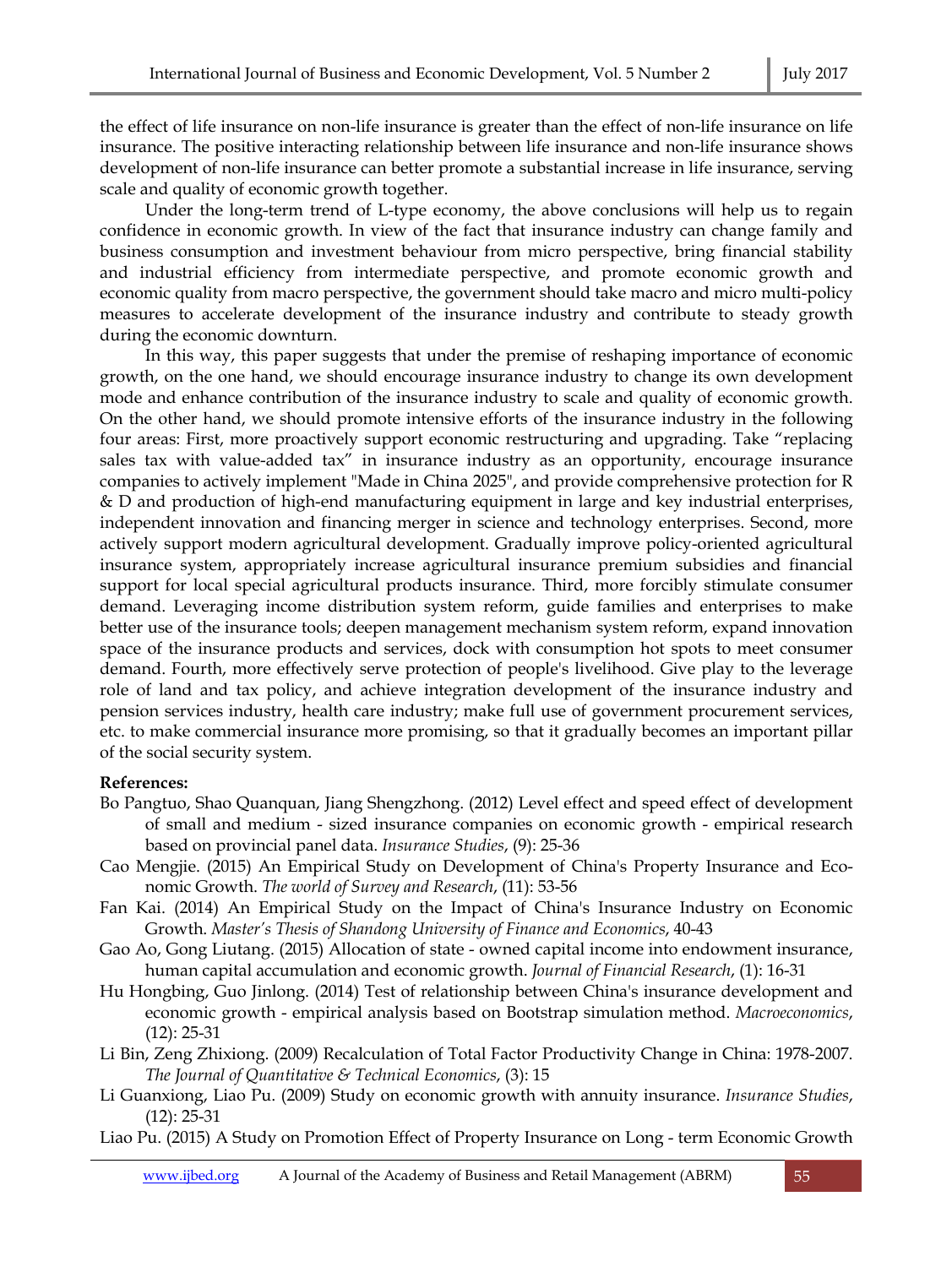the effect of life insurance on non-life insurance is greater than the effect of non-life insurance on life insurance. The positive interacting relationship between life insurance and non-life insurance shows development of non-life insurance can better promote a substantial increase in life insurance, serving scale and quality of economic growth together.

Under the long-term trend of L-type economy, the above conclusions will help us to regain confidence in economic growth. In view of the fact that insurance industry can change family and business consumption and investment behaviour from micro perspective, bring financial stability and industrial efficiency from intermediate perspective, and promote economic growth and economic quality from macro perspective, the government should take macro and micro multi-policy measures to accelerate development of the insurance industry and contribute to steady growth during the economic downturn.

In this way, this paper suggests that under the premise of reshaping importance of economic growth, on the one hand, we should encourage insurance industry to change its own development mode and enhance contribution of the insurance industry to scale and quality of economic growth. On the other hand, we should promote intensive efforts of the insurance industry in the following four areas: First, more proactively support economic restructuring and upgrading. Take "replacing sales tax with value-added tax" in insurance industry as an opportunity, encourage insurance companies to actively implement "Made in China 2025", and provide comprehensive protection for R & D and production of high-end manufacturing equipment in large and key industrial enterprises, independent innovation and financing merger in science and technology enterprises. Second, more actively support modern agricultural development. Gradually improve policy-oriented agricultural insurance system, appropriately increase agricultural insurance premium subsidies and financial support for local special agricultural products insurance. Third, more forcibly stimulate consumer demand. Leveraging income distribution system reform, guide families and enterprises to make better use of the insurance tools; deepen management mechanism system reform, expand innovation space of the insurance products and services, dock with consumption hot spots to meet consumer demand. Fourth, more effectively serve protection of people's livelihood. Give play to the leverage role of land and tax policy, and achieve integration development of the insurance industry and pension services industry, health care industry; make full use of government procurement services, etc. to make commercial insurance more promising, so that it gradually becomes an important pillar of the social security system.

## **References:**

- Bo Pangtuo, Shao Quanquan, Jiang Shengzhong. (2012) Level effect and speed effect of development of small and medium - sized insurance companies on economic growth - empirical research based on provincial panel data. *Insurance Studies*, (9): 25-36
- Cao Mengjie. (2015) An Empirical Study on Development of China's Property Insurance and Economic Growth. *The world of Survey and Research*, (11): 53-56
- Fan Kai. (2014) An Empirical Study on the Impact of China's Insurance Industry on Economic Growth. *Master's Thesis of Shandong University of Finance and Economics*, 40-43
- Gao Ao, Gong Liutang. (2015) Allocation of state owned capital income into endowment insurance, human capital accumulation and economic growth. *Journal of Financial Research*, (1): 16-31

Hu Hongbing, Guo Jinlong. (2014) Test of relationship between China's insurance development and economic growth - empirical analysis based on Bootstrap simulation method. *Macroeconomics*, (12): 25-31

- Li Bin, Zeng Zhixiong. (2009) Recalculation of Total Factor Productivity Change in China: 1978-2007. *The Journal of Quantitative & Technical Economics*, (3): 15
- Li Guanxiong, Liao Pu. (2009) Study on economic growth with annuity insurance. *Insurance Studies*, (12): 25-31

Liao Pu. (2015) A Study on Promotion Effect of Property Insurance on Long - term Economic Growth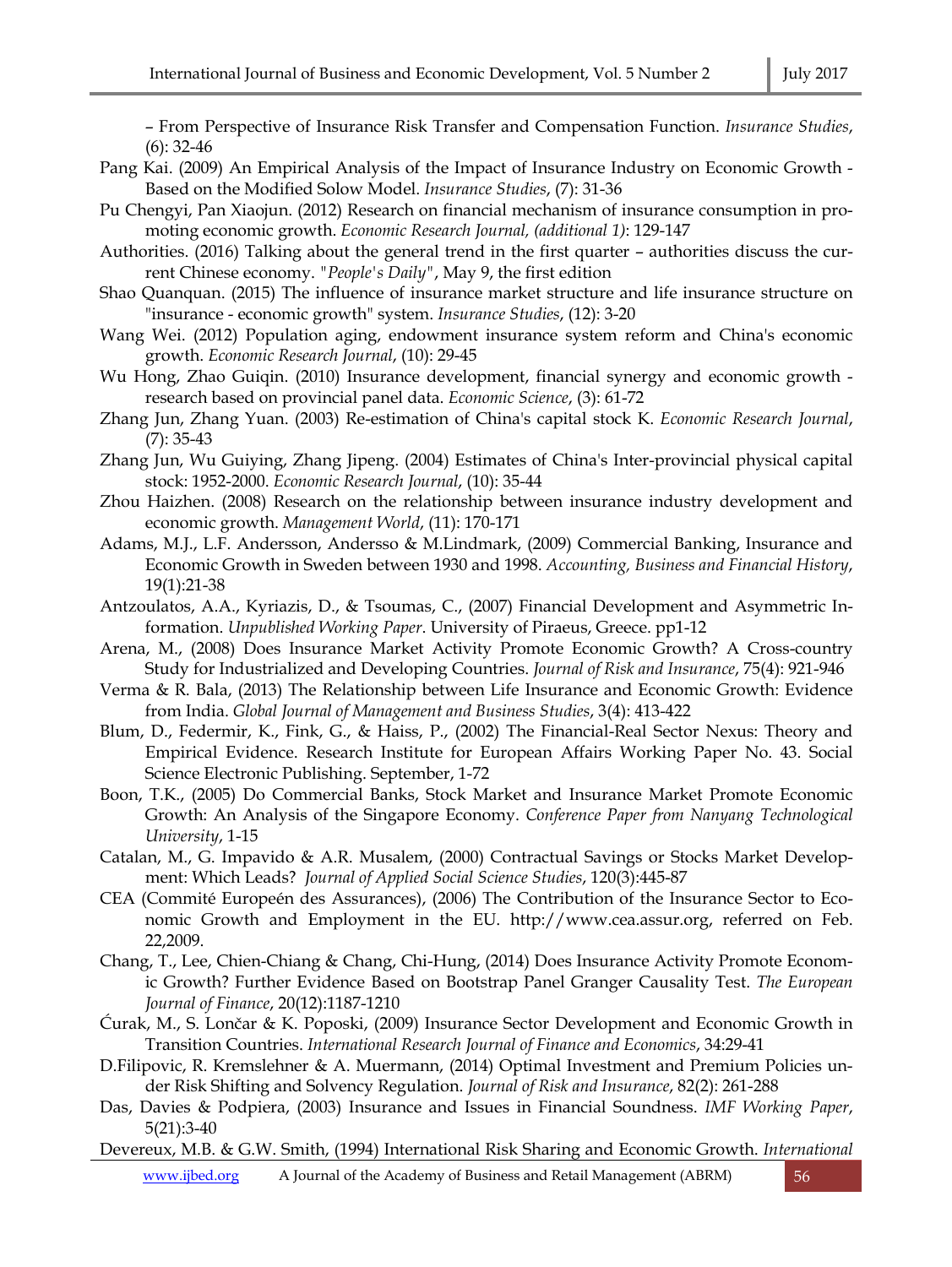– From Perspective of Insurance Risk Transfer and Compensation Function. *Insurance Studies*, (6): 32-46

- Pang Kai. (2009) An Empirical Analysis of the Impact of Insurance Industry on Economic Growth Based on the Modified Solow Model. *Insurance Studies*, (7): 31-36
- Pu Chengyi, Pan Xiaojun. (2012) Research on financial mechanism of insurance consumption in promoting economic growth. *Economic Research Journal, (additional 1)*: 129-147
- Authorities. (2016) Talking about the general trend in the first quarter authorities discuss the current Chinese economy. *"People's Daily"*, May 9, the first edition
- Shao Quanquan. (2015) The influence of insurance market structure and life insurance structure on "insurance - economic growth" system. *Insurance Studies*, (12): 3-20
- Wang Wei. (2012) Population aging, endowment insurance system reform and China's economic growth. *Economic Research Journal*, (10): 29-45
- Wu Hong, Zhao Guiqin. (2010) Insurance development, financial synergy and economic growth research based on provincial panel data. *Economic Science*, (3): 61-72
- Zhang Jun, Zhang Yuan. (2003) Re-estimation of China's capital stock K. *Economic Research Journal*, (7): 35-43
- Zhang Jun, Wu Guiying, Zhang Jipeng. (2004) Estimates of China's Inter-provincial physical capital stock: 1952-2000. *Economic Research Journal*, (10): 35-44
- Zhou Haizhen. (2008) Research on the relationship between insurance industry development and economic growth. *Management World*, (11): 170-171
- Adams, M.J., L.F. Andersson, Andersso & M.Lindmark, (2009) Commercial Banking, Insurance and Economic Growth in Sweden between 1930 and 1998. *Accounting, Business and Financial History*, 19(1):21-38
- Antzoulatos, A.A., Kyriazis, D., & Tsoumas, C., (2007) Financial Development and Asymmetric Information. *Unpublished Working Paper*. University of Piraeus, Greece. pp1-12
- Arena, M., (2008) Does Insurance Market Activity Promote Economic Growth? A Cross-country Study for Industrialized and Developing Countries. *Journal of Risk and Insurance*, 75(4): 921-946
- Verma & R. Bala, (2013) The Relationship between Life Insurance and Economic Growth: Evidence from India. *Global Journal of Management and Business Studies*, 3(4): 413-422
- Blum, D., Federmir, K., Fink, G., & Haiss, P., (2002) The Financial-Real Sector Nexus: Theory and Empirical Evidence. Research Institute for European Affairs Working Paper No. 43. Social Science Electronic Publishing. September, 1-72
- Boon, T.K., (2005) Do Commercial Banks, Stock Market and Insurance Market Promote Economic Growth: An Analysis of the Singapore Economy. *Conference Paper from Nanyang Technological University*, 1-15
- Catalan, M., G. Impavido & A.R. Musalem, (2000) Contractual Savings or Stocks Market Development: Which Leads? *Journal of Applied Social Science Studies*, 120(3):445-87
- CEA (Commité Europeén des Assurances), (2006) The Contribution of the Insurance Sector to Economic Growth and Employment in the EU. http://www.cea.assur.org, referred on Feb. 22,2009.
- Chang, T., Lee, Chien-Chiang & Chang, Chi-Hung, (2014) Does Insurance Activity Promote Economic Growth? Further Evidence Based on Bootstrap Panel Granger Causality Test. *The European Journal of Finance*, 20(12):1187-1210
- Ćurak, M., S. Lončar & K. Poposki, (2009) Insurance Sector Development and Economic Growth in Transition Countries. *International Research Journal of Finance and Economics*, 34:29-41
- D.Filipovic, R. Kremslehner & A. Muermann, (2014) Optimal Investment and Premium Policies under Risk Shifting and Solvency Regulation. *Journal of Risk and Insurance*, 82(2): 261-288
- Das, Davies & Podpiera, (2003) Insurance and Issues in Financial Soundness. *IMF Working Paper*, 5(21):3-40
- Devereux, M.B. & G.W. Smith, (1994) International Risk Sharing and Economic Growth. *International*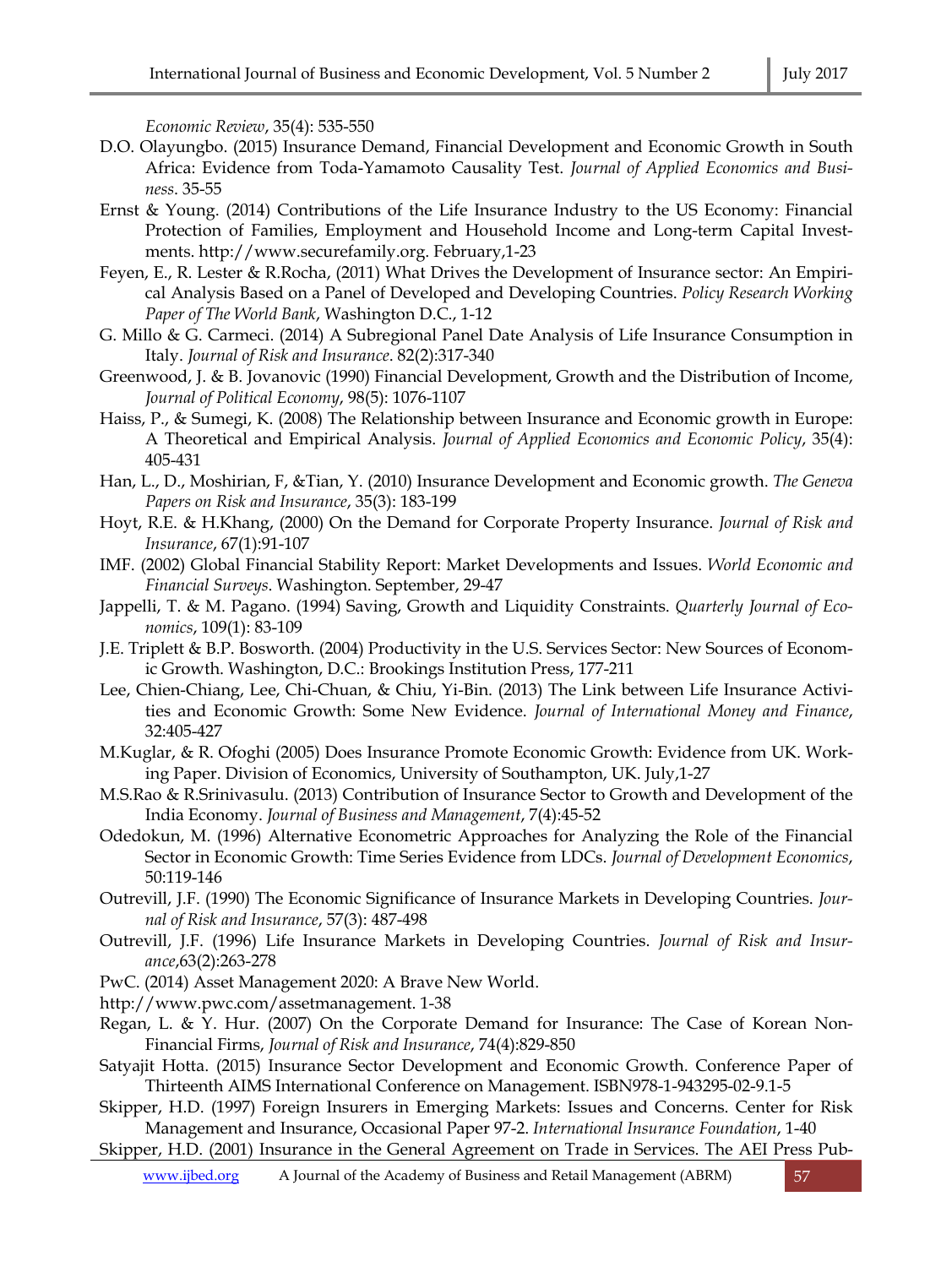*Economic Review*, 35(4): 535-550

- D.O. Olayungbo. (2015) Insurance Demand, Financial Development and Economic Growth in South Africa: Evidence from Toda-Yamamoto Causality Test. *Journal of Applied Economics and Business*. 35-55
- Ernst & Young. (2014) Contributions of the Life Insurance Industry to the US Economy: Financial Protection of Families, Employment and Household Income and Long-term Capital Investments. http://www.securefamily.org. February,1-23
- Feyen, E., R. Lester & R.Rocha, (2011) What Drives the Development of Insurance sector: An Empirical Analysis Based on a Panel of Developed and Developing Countries. *Policy Research Working Paper of The World Bank*, Washington D.C., 1-12
- G. Millo & G. Carmeci. (2014) A Subregional Panel Date Analysis of Life Insurance Consumption in Italy. *Journal of Risk and Insurance*. 82(2):317-340
- Greenwood, J. & B. Jovanovic (1990) Financial Development, Growth and the Distribution of Income, *Journal of Political Economy*, 98(5): 1076-1107
- Haiss, P., & Sumegi, K. (2008) The Relationship between Insurance and Economic growth in Europe: A Theoretical and Empirical Analysis. *Journal of Applied Economics and Economic Policy*, 35(4): 405-431
- Han, L., D., Moshirian, F, &Tian, Y. (2010) Insurance Development and Economic growth. *The Geneva Papers on Risk and Insurance*, 35(3): 183-199
- Hoyt, R.E. & H.Khang, (2000) On the Demand for Corporate Property Insurance. *Journal of Risk and Insurance*, 67(1):91-107
- IMF. (2002) Global Financial Stability Report: Market Developments and Issues. *World Economic and Financial Surveys*. Washington. September, 29-47
- Jappelli, T. & M. Pagano. (1994) Saving, Growth and Liquidity Constraints. *Quarterly Journal of Economics*, 109(1): 83-109
- J.E. Triplett & B.P. Bosworth. (2004) Productivity in the U.S. Services Sector: New Sources of Economic Growth. Washington, D.C.: Brookings Institution Press, 177-211
- Lee, Chien-Chiang, Lee, Chi-Chuan, & Chiu, Yi-Bin. (2013) The Link between Life Insurance Activities and Economic Growth: Some New Evidence. *Journal of International Money and Finance*, 32:405-427
- M.Kuglar, & R. Ofoghi (2005) Does Insurance Promote Economic Growth: Evidence from UK. Working Paper. Division of Economics, University of Southampton, UK. July,1-27
- M.S.Rao & R.Srinivasulu. (2013) Contribution of Insurance Sector to Growth and Development of the India Economy. *Journal of Business and Management*, 7(4):45-52
- Odedokun, M. (1996) Alternative Econometric Approaches for Analyzing the Role of the Financial Sector in Economic Growth: Time Series Evidence from LDCs. *Journal of Development Economics*, 50:119-146
- Outrevill, J.F. (1990) The Economic Significance of Insurance Markets in Developing Countries. *Journal of Risk and Insurance*, 57(3): 487-498
- Outrevill, J.F. (1996) Life Insurance Markets in Developing Countries. *Journal of Risk and Insurance*,63(2):263-278
- PwC. (2014) Asset Management 2020: A Brave New World.
- http://www.pwc.com/assetmanagement. 1-38
- Regan, L. & Y. Hur. (2007) On the Corporate Demand for Insurance: The Case of Korean Non-Financial Firms, *Journal of Risk and Insurance*, 74(4):829-850
- Satyajit Hotta. (2015) Insurance Sector Development and Economic Growth. Conference Paper of Thirteenth AIMS International Conference on Management. ISBN978-1-943295-02-9.1-5
- Skipper, H.D. (1997) Foreign Insurers in Emerging Markets: Issues and Concerns. Center for Risk Management and Insurance, Occasional Paper 97-2. *International Insurance Foundation*, 1-40
- Skipper, H.D. (2001) Insurance in the General Agreement on Trade in Services. The AEI Press Pub-